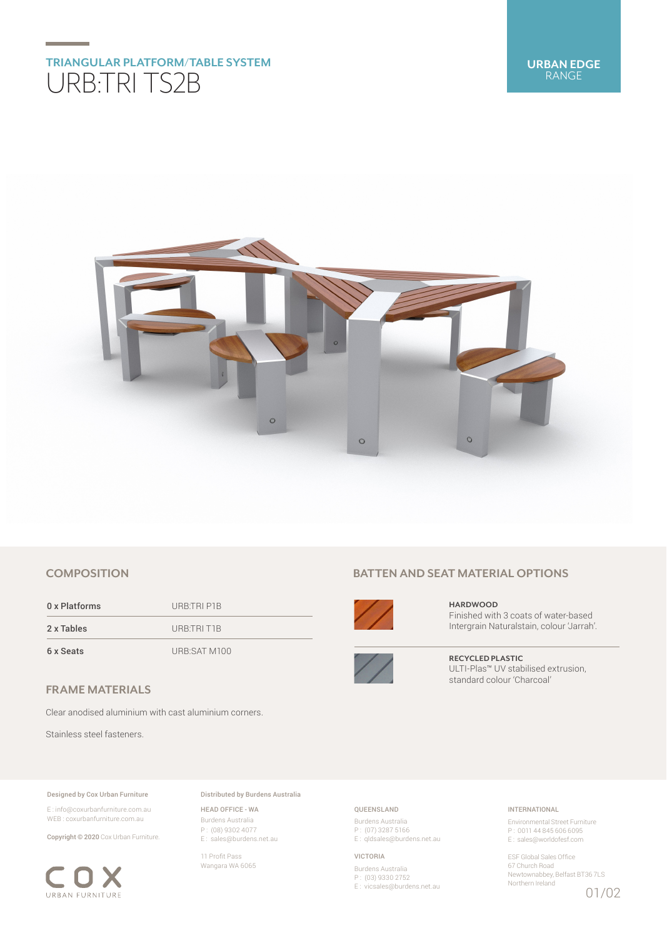# **TRIANGULAR PLATFORM/TABLE SYSTEM** URB:TRI TS2B



# **COMPOSITION**

0 x Platforms URB:TRI P1B 2 x Tables URB:TRI T1B 6 x Seats URB:SAT M100

# **FRAME MATERIALS**

Clear anodised aluminium with cast aluminium corners.

Stainless steel fasteners.

#### Designed by Cox Urban Furniture

E : info@coxurbanfurniture.com.au WEB : coxurbanfurniture.com.au

Copyright © 2020 Cox Urban Furniture.



Distributed by Burdens Australia

HEAD OFFICE - WA Burdens Australia P : (08) 9302 4077 E : sales@burdens.net.au

11 Profit Pass Wangara WA 6065

# **BATTEN AND SEAT MATERIAL OPTIONS**



**HARDWOOD** Finished with 3 coats of water-based Intergrain Naturalstain, colour 'Jarrah'.



**RECYCLED PLASTIC** ULTI-Plas™ UV stabilised extrusion, standard colour 'Charcoal'

## QUEENSLAND

Burdens Australia P : (07) 3287 5166 E : qldsales@burdens.net.au

VICTORIA

Burdens Australia P : (03) 9330 2752 E : vicsales@burdens.net.au

## INTERNATIONAL

Environmental Street Furniture P : 0011 44 845 606 6095 E : sales@worldofesf.com

ESF Global Sales Office 67 Church Road Newtownabbey, Belfast BT36 7LS Northern Ireland 01/02